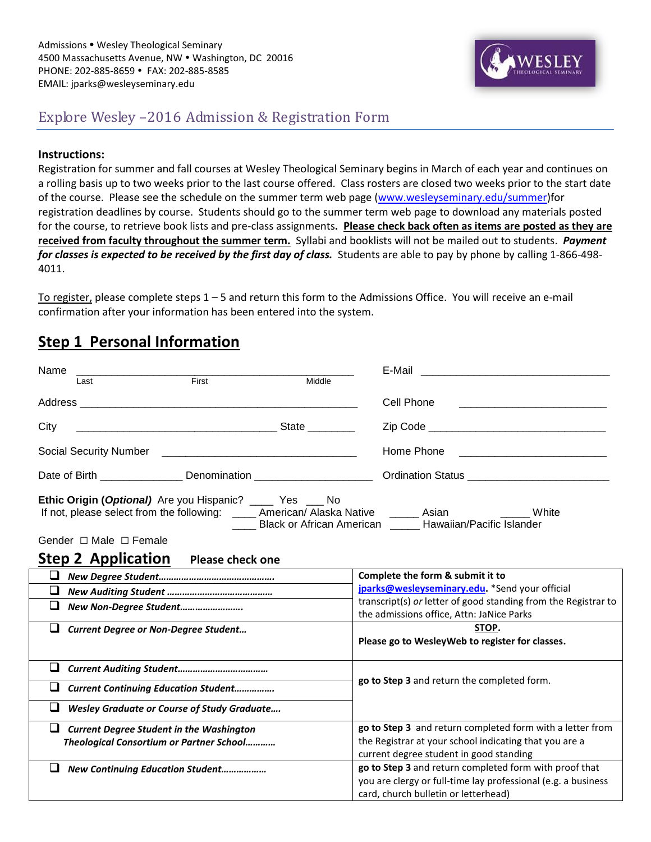

## Explore Wesley –2016 Admission & Registration Form

#### **Instructions:**

Registration for summer and fall courses at Wesley Theological Seminary begins in March of each year and continues on a rolling basis up to two weeks prior to the last course offered. Class rosters are closed two weeks prior to the start date of the course. Please see the schedule on the summer term web page [\(www.wesleyseminary.edu/summer\)](http://www.wesleyseminary.edu/summer)for registration deadlines by course. Students should go to the summer term web page to download any materials posted for the course, to retrieve book lists and pre-class assignments**. Please check back often as items are posted as they are received from faculty throughout the summer term.** Syllabi and booklists will not be mailed out to students. *Payment for classes is expected to be received by the first day of class.* Students are able to pay by phone by calling 1-866-498- 4011.

To register, please complete steps 1 – 5 and return this form to the Admissions Office. You will receive an e-mail confirmation after your information has been entered into the system.

## **Step 1 Personal Information**

| Name                                                                                                                                                                                                                                                          | E-Mail                                                                                                      |  |  |
|---------------------------------------------------------------------------------------------------------------------------------------------------------------------------------------------------------------------------------------------------------------|-------------------------------------------------------------------------------------------------------------|--|--|
| First<br>Middle<br>Last                                                                                                                                                                                                                                       |                                                                                                             |  |  |
|                                                                                                                                                                                                                                                               | Cell Phone                                                                                                  |  |  |
| City                                                                                                                                                                                                                                                          |                                                                                                             |  |  |
|                                                                                                                                                                                                                                                               | Home Phone                                                                                                  |  |  |
| Date of Birth ________________________ Denomination ____________________________                                                                                                                                                                              |                                                                                                             |  |  |
| <b>Ethic Origin (Optional)</b> Are you Hispanic? _____ Yes ___ No<br>If not, please select from the following: _____ American/ Alaska Native ______ Asian _______<br>Gender $\Box$ Male $\Box$ Female<br><b>Step 2 Application</b><br><b>Please check one</b> | White<br>Black or African American _____ Hawaiian/Pacific Islander                                          |  |  |
|                                                                                                                                                                                                                                                               |                                                                                                             |  |  |
| ⊔                                                                                                                                                                                                                                                             | Complete the form & submit it to                                                                            |  |  |
| ❏                                                                                                                                                                                                                                                             | jparks@wesleyseminary.edu. *Send your official                                                              |  |  |
| ⊔<br>New Non-Degree Student                                                                                                                                                                                                                                   | transcript(s) or letter of good standing from the Registrar to<br>the admissions office, Attn: JaNice Parks |  |  |
| ⊔<br><b>Current Degree or Non-Degree Student</b>                                                                                                                                                                                                              | STOP.<br>Please go to WesleyWeb to register for classes.                                                    |  |  |
| ⊔                                                                                                                                                                                                                                                             |                                                                                                             |  |  |
| ⊔<br><b>Current Continuing Education Student</b>                                                                                                                                                                                                              | go to Step 3 and return the completed form.                                                                 |  |  |
| ப<br><b>Wesley Graduate or Course of Study Graduate</b>                                                                                                                                                                                                       |                                                                                                             |  |  |
| ❏<br><b>Current Degree Student in the Washington</b>                                                                                                                                                                                                          | go to Step 3 and return completed form with a letter from                                                   |  |  |
| Theological Consortium or Partner School                                                                                                                                                                                                                      | the Registrar at your school indicating that you are a                                                      |  |  |
|                                                                                                                                                                                                                                                               | current degree student in good standing                                                                     |  |  |
| ⊔<br><b>New Continuing Education Student</b>                                                                                                                                                                                                                  | go to Step 3 and return completed form with proof that                                                      |  |  |
|                                                                                                                                                                                                                                                               | you are clergy or full-time lay professional (e.g. a business                                               |  |  |
|                                                                                                                                                                                                                                                               | card, church bulletin or letterhead)                                                                        |  |  |